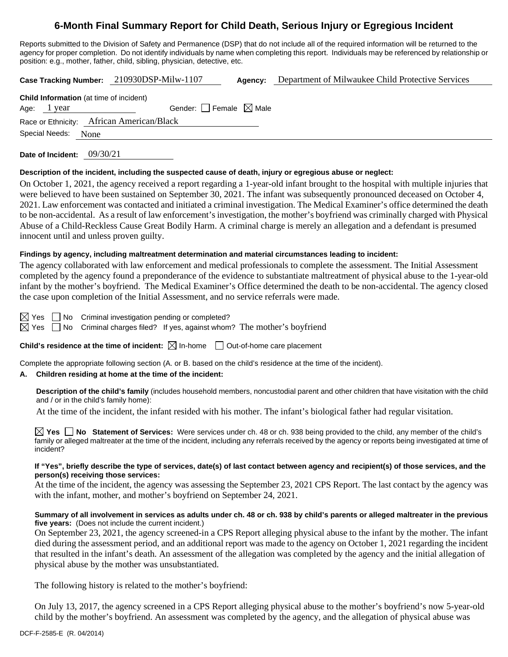# **6-Month Final Summary Report for Child Death, Serious Injury or Egregious Incident**

Reports submitted to the Division of Safety and Permanence (DSP) that do not include all of the required information will be returned to the agency for proper completion. Do not identify individuals by name when completing this report. Individuals may be referenced by relationship or position: e.g., mother, father, child, sibling, physician, detective, etc.

**Case Tracking Number:** 210930DSP-Milw-1107 **Agency:** Department of Milwaukee Child Protective Services

| <b>Child Information</b> (at time of incident) |                                        |  |  |  |  |  |
|------------------------------------------------|----------------------------------------|--|--|--|--|--|
| Age: 1 year                                    | Gender: $\Box$ Female $\boxtimes$ Male |  |  |  |  |  |
| Race or Ethnicity: African American/Black      |                                        |  |  |  |  |  |
| Special Needs: None                            |                                        |  |  |  |  |  |

**Date of Incident:** 09/30/21

## **Description of the incident, including the suspected cause of death, injury or egregious abuse or neglect:**

On October 1, 2021, the agency received a report regarding a 1-year-old infant brought to the hospital with multiple injuries that were believed to have been sustained on September 30, 2021. The infant was subsequently pronounced deceased on October 4, 2021. Law enforcement was contacted and initiated a criminal investigation. The Medical Examiner's office determined the death to be non-accidental. As a result of law enforcement's investigation, the mother's boyfriend was criminally charged with Physical Abuse of a Child-Reckless Cause Great Bodily Harm. A criminal charge is merely an allegation and a defendant is presumed innocent until and unless proven guilty.

# **Findings by agency, including maltreatment determination and material circumstances leading to incident:**

The agency collaborated with law enforcement and medical professionals to complete the assessment. The Initial Assessment completed by the agency found a preponderance of the evidence to substantiate maltreatment of physical abuse to the 1-year-old infant by the mother's boyfriend. The Medical Examiner's Office determined the death to be non-accidental. The agency closed the case upon completion of the Initial Assessment, and no service referrals were made.

 $\boxtimes$  Yes  $\Box$  No Criminal investigation pending or completed?

 $\boxtimes$  Yes  $\Box$  No Criminal charges filed? If yes, against whom? The mother's boyfriend

**Child's residence at the time of incident:**  $\boxtimes$  In-home  $\Box$  Out-of-home care placement

Complete the appropriate following section (A. or B. based on the child's residence at the time of the incident).

# **A. Children residing at home at the time of the incident:**

**Description of the child's family** (includes household members, noncustodial parent and other children that have visitation with the child and / or in the child's family home):

At the time of the incident, the infant resided with his mother. The infant's biological father had regular visitation.

**Yes No Statement of Services:** Were services under ch. 48 or ch. 938 being provided to the child, any member of the child's family or alleged maltreater at the time of the incident, including any referrals received by the agency or reports being investigated at time of incident?

#### **If "Yes", briefly describe the type of services, date(s) of last contact between agency and recipient(s) of those services, and the person(s) receiving those services:**

At the time of the incident, the agency was assessing the September 23, 2021 CPS Report. The last contact by the agency was with the infant, mother, and mother's boyfriend on September 24, 2021.

## **Summary of all involvement in services as adults under ch. 48 or ch. 938 by child's parents or alleged maltreater in the previous five years:** (Does not include the current incident.)

On September 23, 2021, the agency screened-in a CPS Report alleging physical abuse to the infant by the mother. The infant died during the assessment period, and an additional report was made to the agency on October 1, 2021 regarding the incident that resulted in the infant's death. An assessment of the allegation was completed by the agency and the initial allegation of physical abuse by the mother was unsubstantiated.

The following history is related to the mother's boyfriend:

On July 13, 2017, the agency screened in a CPS Report alleging physical abuse to the mother's boyfriend's now 5-year-old child by the mother's boyfriend. An assessment was completed by the agency, and the allegation of physical abuse was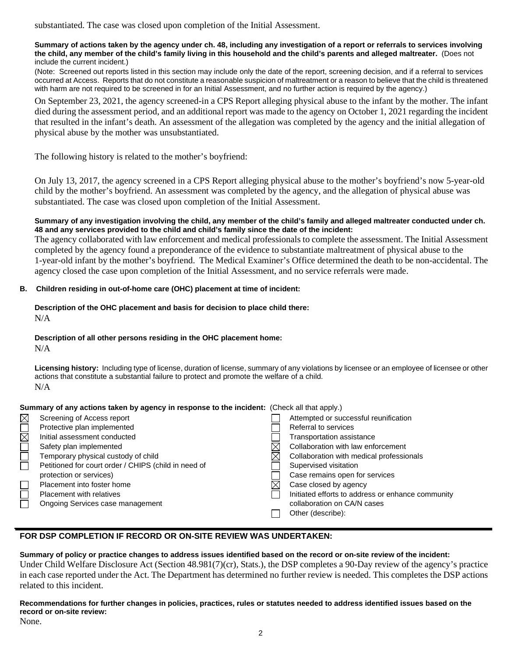substantiated. The case was closed upon completion of the Initial Assessment.

#### **Summary of actions taken by the agency under ch. 48, including any investigation of a report or referrals to services involving the child, any member of the child's family living in this household and the child's parents and alleged maltreater.** (Does not include the current incident.)

(Note: Screened out reports listed in this section may include only the date of the report, screening decision, and if a referral to services occurred at Access. Reports that do not constitute a reasonable suspicion of maltreatment or a reason to believe that the child is threatened with harm are not required to be screened in for an Initial Assessment, and no further action is required by the agency.)

On September 23, 2021, the agency screened-in a CPS Report alleging physical abuse to the infant by the mother. The infant died during the assessment period, and an additional report was made to the agency on October 1, 2021 regarding the incident that resulted in the infant's death. An assessment of the allegation was completed by the agency and the initial allegation of physical abuse by the mother was unsubstantiated.

The following history is related to the mother's boyfriend:

On July 13, 2017, the agency screened in a CPS Report alleging physical abuse to the mother's boyfriend's now 5-year-old child by the mother's boyfriend. An assessment was completed by the agency, and the allegation of physical abuse was substantiated. The case was closed upon completion of the Initial Assessment.

## **Summary of any investigation involving the child, any member of the child's family and alleged maltreater conducted under ch. 48 and any services provided to the child and child's family since the date of the incident:**

The agency collaborated with law enforcement and medical professionals to complete the assessment. The Initial Assessment completed by the agency found a preponderance of the evidence to substantiate maltreatment of physical abuse to the 1-year-old infant by the mother's boyfriend. The Medical Examiner's Office determined the death to be non-accidental. The agency closed the case upon completion of the Initial Assessment, and no service referrals were made.

# **B. Children residing in out-of-home care (OHC) placement at time of incident:**

**Description of the OHC placement and basis for decision to place child there:**  $N/A$ 

## **Description of all other persons residing in the OHC placement home:**

 $N/A$ 

**Licensing history:** Including type of license, duration of license, summary of any violations by licensee or an employee of licensee or other actions that constitute a substantial failure to protect and promote the welfare of a child.  $N/A$ 

## **Summary of any actions taken by agency in response to the incident:** (Check all that apply.)

| M                      | Screening of Access report                           | Attempted or successful reunification             |
|------------------------|------------------------------------------------------|---------------------------------------------------|
|                        | Protective plan implemented                          | Referral to services                              |
| $\overline{\boxtimes}$ | Initial assessment conducted                         | <b>Transportation assistance</b>                  |
|                        | Safety plan implemented                              | Collaboration with law enforcement                |
|                        | Temporary physical custody of child                  | Collaboration with medical professionals          |
|                        | Petitioned for court order / CHIPS (child in need of | Supervised visitation                             |
|                        | protection or services)                              | Case remains open for services                    |
|                        | Placement into foster home                           | Case closed by agency                             |
|                        | <b>Placement with relatives</b>                      | Initiated efforts to address or enhance community |
|                        | Ongoing Services case management                     | collaboration on CA/N cases                       |
|                        |                                                      | Other (describe):                                 |
|                        |                                                      |                                                   |

# **FOR DSP COMPLETION IF RECORD OR ON-SITE REVIEW WAS UNDERTAKEN:**

**Summary of policy or practice changes to address issues identified based on the record or on-site review of the incident:** Under Child Welfare Disclosure Act (Section 48.981(7)(cr), Stats.), the DSP completes a 90-Day review of the agency's practice in each case reported under the Act. The Department has determined no further review is needed. This completes the DSP actions related to this incident.

**Recommendations for further changes in policies, practices, rules or statutes needed to address identified issues based on the record or on-site review:** None.